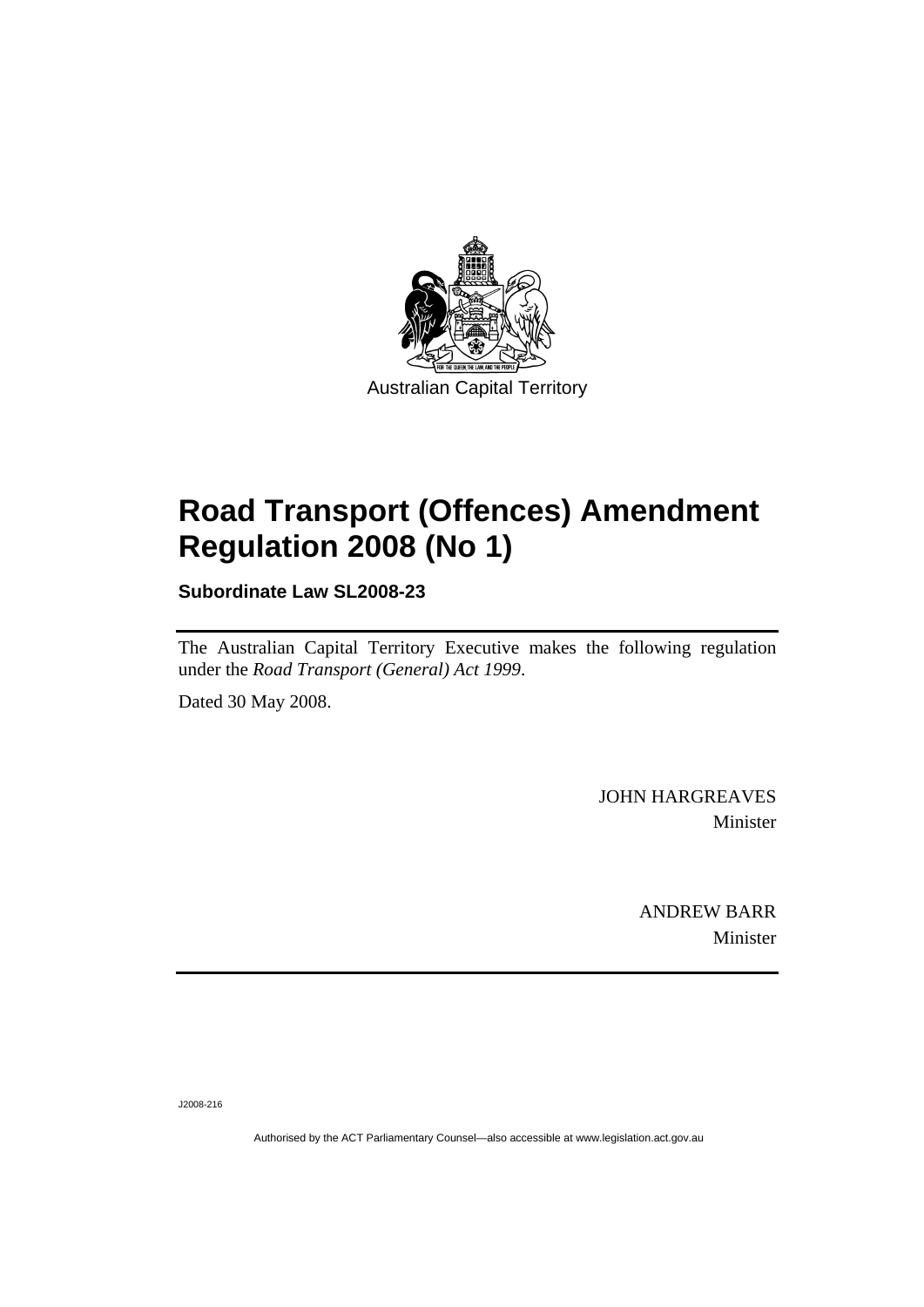

# **[Road Transport \(Offences\) Amendment](#page-2-0)  [Regulation 2008 \(No 1\)](#page-2-0)**

**Subordinate Law SL2008-23** 

The Australian Capital Territory Executive makes the following regulation under the *[Road Transport \(General\) Act 1999](#page-2-0)*.

Dated 30 May 2008.

JOHN HARGREAVES Minister

> ANDREW BARR Minister

J2008-216

Authorised by the ACT Parliamentary Counsel—also accessible at www.legislation.act.gov.au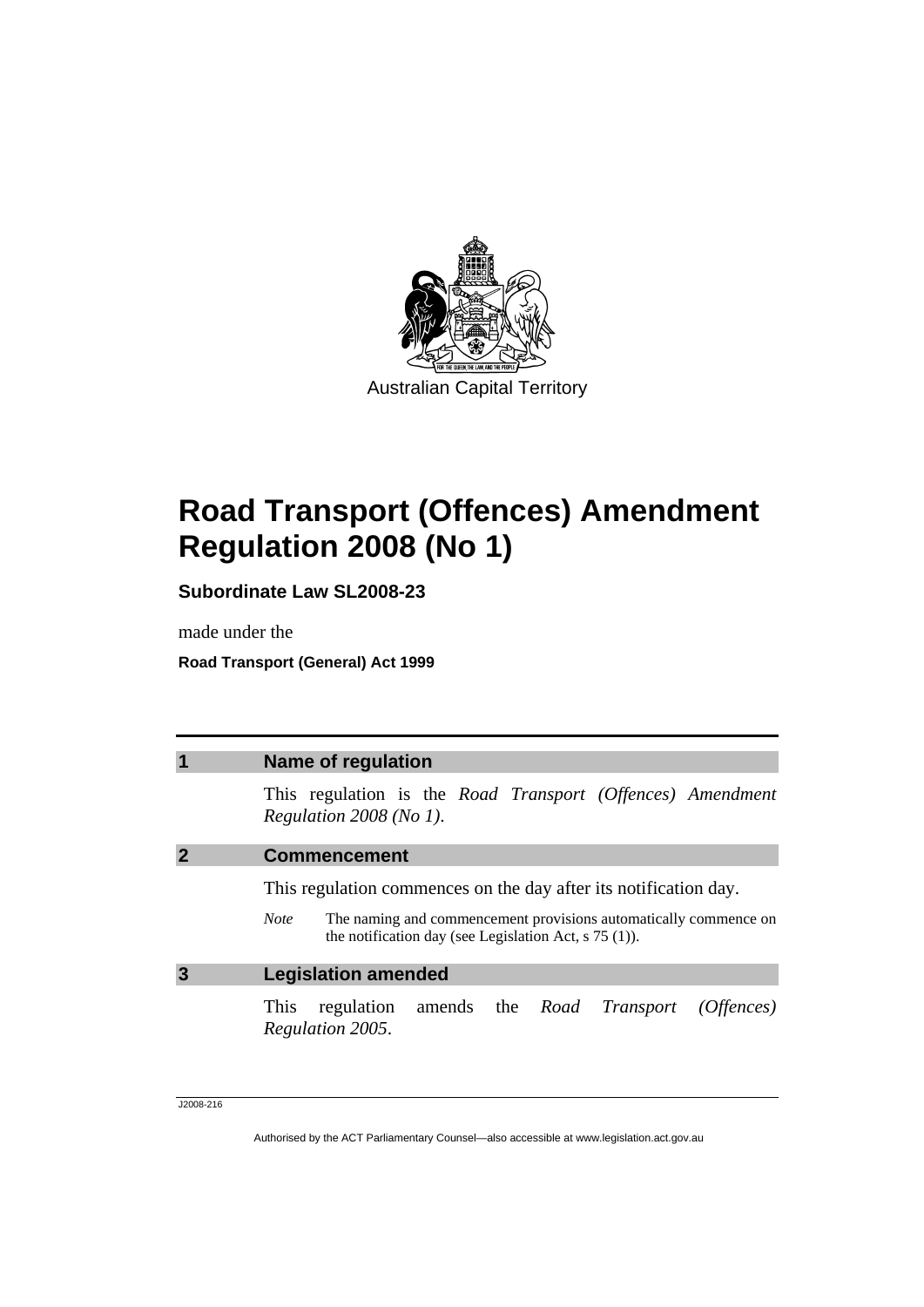<span id="page-2-0"></span>

# **Road Transport (Offences) Amendment Regulation 2008 (No 1)**

**Subordinate Law SL2008-23** 

made under the

**Road Transport (General) Act 1999** 

|   | Name of regulation                                                                                                                                                                                             |
|---|----------------------------------------------------------------------------------------------------------------------------------------------------------------------------------------------------------------|
|   | This regulation is the Road Transport (Offences) Amendment<br>Regulation $2008$ (No 1).                                                                                                                        |
|   | <b>Commencement</b>                                                                                                                                                                                            |
|   | This regulation commences on the day after its notification day.<br>The naming and commencement provisions automatically commence on<br><i>Note</i><br>the notification day (see Legislation Act, $s$ 75 (1)). |
| 3 | <b>Legislation amended</b>                                                                                                                                                                                     |
|   | regulation amends the <i>Road Transport (Offences)</i><br>This<br>Regulation 2005.                                                                                                                             |

J2008-216

Authorised by the ACT Parliamentary Counsel—also accessible at www.legislation.act.gov.au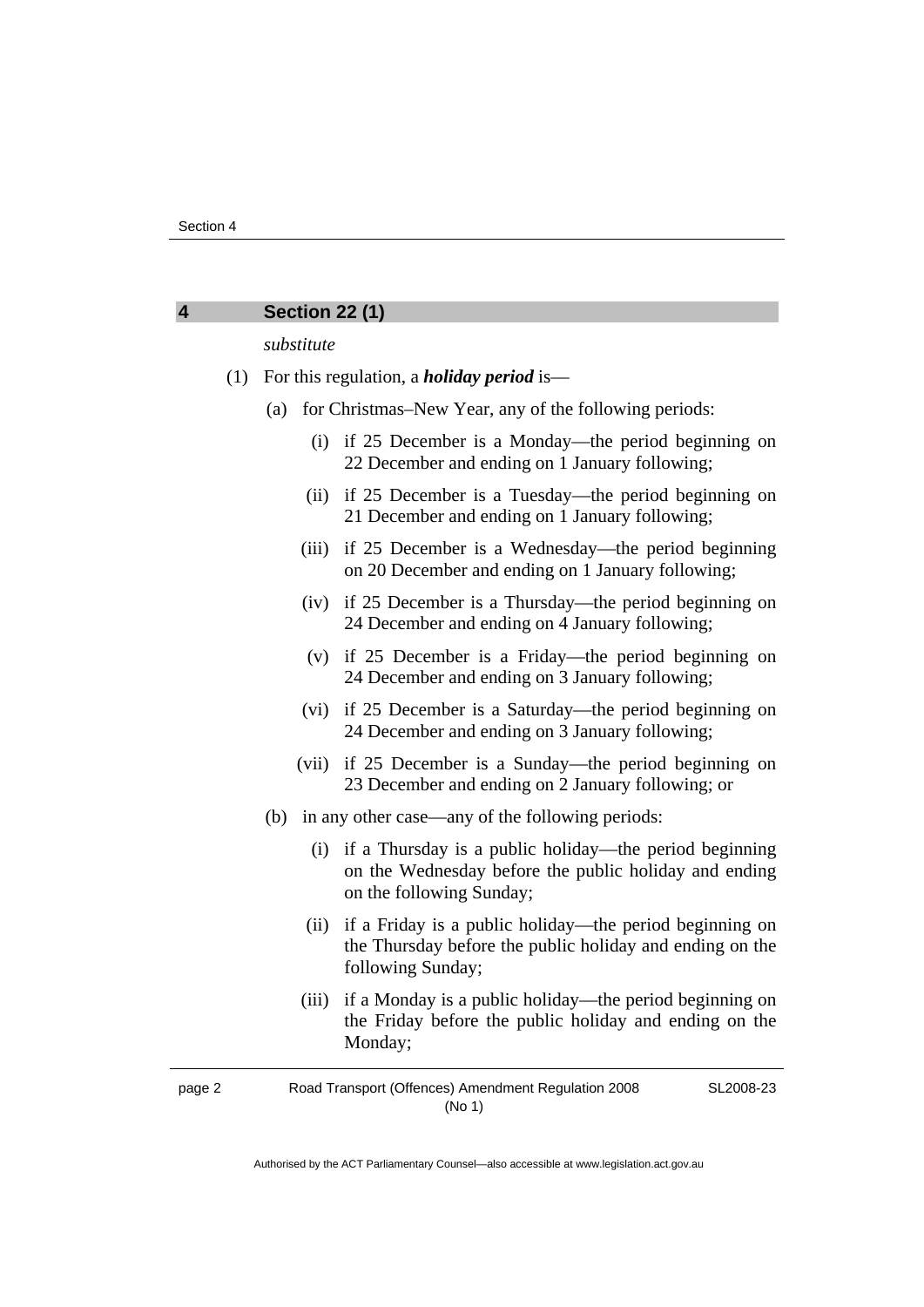### **4 Section 22 (1)**

#### *substitute*

- (1) For this regulation, a *holiday period* is—
	- (a) for Christmas–New Year, any of the following periods:
		- (i) if 25 December is a Monday—the period beginning on 22 December and ending on 1 January following;
		- (ii) if 25 December is a Tuesday—the period beginning on 21 December and ending on 1 January following;
		- (iii) if 25 December is a Wednesday—the period beginning on 20 December and ending on 1 January following;
		- (iv) if 25 December is a Thursday—the period beginning on 24 December and ending on 4 January following;
		- (v) if 25 December is a Friday—the period beginning on 24 December and ending on 3 January following;
		- (vi) if 25 December is a Saturday—the period beginning on 24 December and ending on 3 January following;
		- (vii) if 25 December is a Sunday—the period beginning on 23 December and ending on 2 January following; or
	- (b) in any other case—any of the following periods:
		- (i) if a Thursday is a public holiday—the period beginning on the Wednesday before the public holiday and ending on the following Sunday;
		- (ii) if a Friday is a public holiday—the period beginning on the Thursday before the public holiday and ending on the following Sunday;
		- (iii) if a Monday is a public holiday—the period beginning on the Friday before the public holiday and ending on the Monday;

page 2 Road Transport (Offences) Amendment Regulation 2008 (No 1) SL2008-23

Authorised by the ACT Parliamentary Counsel—also accessible at www.legislation.act.gov.au